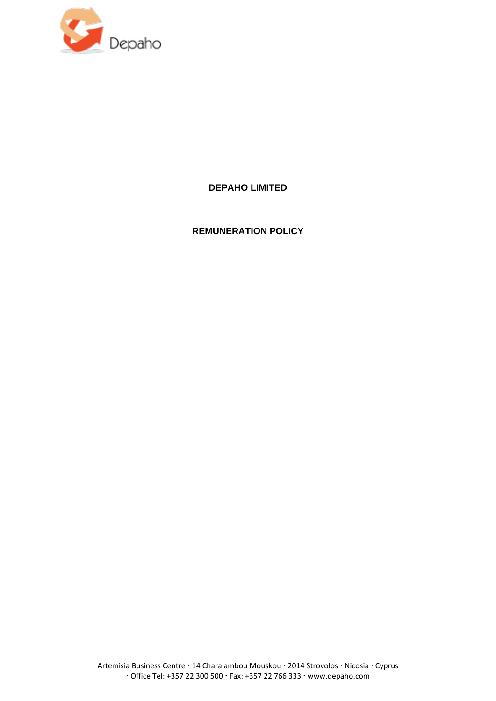

**DEPAHO LIMITED**

**REMUNERATION POLICY**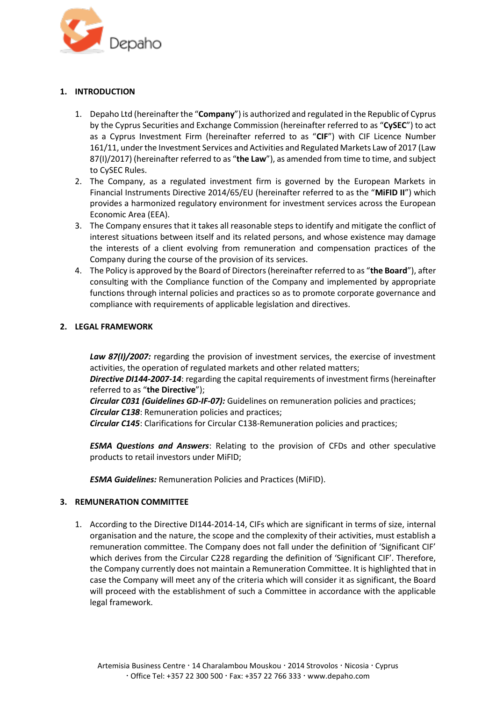

# **1. INTRODUCTION**

- 1. Depaho Ltd (hereinafter the "**Company**") is authorized and regulated in the Republic of Cyprus by the Cyprus Securities and Exchange Commission (hereinafter referred to as "**CySEC**") to act as a Cyprus Investment Firm (hereinafter referred to as "**CIF**") with CIF Licence Number 161/11, under the Investment Services and Activities and Regulated Markets Law of 2017 (Law 87(I)/2017) (hereinafter referred to as "**the Law**"), as amended from time to time, and subject to CySEC Rules.
- 2. The Company, as a regulated investment firm is governed by the European Markets in Financial Instruments Directive 2014/65/EU (hereinafter referred to as the "**MiFID II**") which provides a harmonized regulatory environment for investment services across the European Economic Area (EEA).
- 3. The Company ensures that it takes all reasonable steps to identify and mitigate the conflict of interest situations between itself and its related persons, and whose existence may damage the interests of a client evolving from remuneration and compensation practices of the Company during the course of the provision of its services.
- 4. The Policy is approved by the Board of Directors (hereinafter referred to as "**the Board**"), after consulting with the Compliance function of the Company and implemented by appropriate functions through internal policies and practices so as to promote corporate governance and compliance with requirements of applicable legislation and directives.

## **2. LEGAL FRAMEWORK**

Law 87(I)/2007: regarding the provision of investment services, the exercise of investment activities, the operation of regulated markets and other related matters;

*Directive DI144-2007-14*: regarding the capital requirements of investment firms (hereinafter referred to as "**the Directive**");

*Circular C031 (Guidelines GD-IF-07):* Guidelines on remuneration policies and practices; *Circular C138*: Remuneration policies and practices;

*Circular C145*: [Clarifications for Circular C138-Remuneration policies and practices;](http://www.cysec.gov.cy/CMSPages/GetFile.aspx?guid=6c08f3a2-a0f2-4069-89c7-18834f7297bc)

*ESMA Questions and Answers*: Relating to the provision of CFDs and other speculative products to retail investors under MiFID;

*ESMA Guidelines:* Remuneration Policies and Practices (MiFID).

### **3. REMUNERATION COMMITTEE**

1. According to the Directive DI144-2014-14, CIFs which are significant in terms of size, internal organisation and the nature, the scope and the complexity of their activities, must establish a remuneration committee. The Company does not fall under the definition of 'Significant CIF' which derives from the Circular C228 regarding the definition of 'Significant CIF'. Therefore, the Company currently does not maintain a Remuneration Committee. It is highlighted that in case the Company will meet any of the criteria which will consider it as significant, the Board will proceed with the establishment of such a Committee in accordance with the applicable legal framework.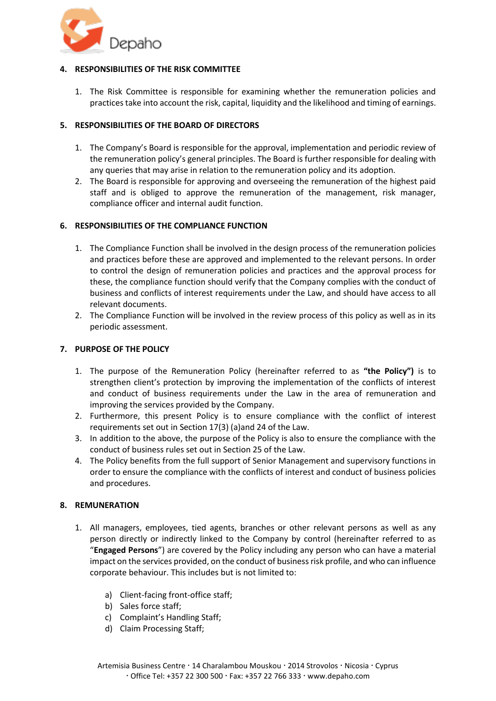

# **4. RESPONSIBILITIES OF THE RISK COMMITTEE**

1. The Risk Committee is responsible for examining whether the remuneration policies and practices take into account the risk, capital, liquidity and the likelihood and timing of earnings.

## **5. RESPONSIBILITIES OF THE BOARD OF DIRECTORS**

- 1. The Company's Board is responsible for the approval, implementation and periodic review of the remuneration policy's general principles. The Board is further responsible for dealing with any queries that may arise in relation to the remuneration policy and its adoption.
- 2. The Board is responsible for approving and overseeing the remuneration of the highest paid staff and is obliged to approve the remuneration of the management, risk manager, compliance officer and internal audit function.

## **6. RESPONSIBILITIES OF THE COMPLIANCE FUNCTION**

- 1. The Compliance Function shall be involved in the design process of the remuneration policies and practices before these are approved and implemented to the relevant persons. In order to control the design of remuneration policies and practices and the approval process for these, the compliance function should verify that the Company complies with the conduct of business and conflicts of interest requirements under the Law, and should have access to all relevant documents.
- 2. The Compliance Function will be involved in the review process of this policy as well as in its periodic assessment.

### **7. PURPOSE OF THE POLICY**

- 1. The purpose of the Remuneration Policy (hereinafter referred to as **"the Policy")** is to strengthen client's protection by improving the implementation of the conflicts of interest and conduct of business requirements under the Law in the area of remuneration and improving the services provided by the Company.
- 2. Furthermore, this present Policy is to ensure compliance with the conflict of interest requirements set out in Section 17(3) (a)and 24 of the Law.
- 3. In addition to the above, the purpose of the Policy is also to ensure the compliance with the conduct of business rules set out in Section 25 of the Law.
- 4. The Policy benefits from the full support of Senior Management and supervisory functions in order to ensure the compliance with the conflicts of interest and conduct of business policies and procedures.

### **8. REMUNERATION**

- 1. All managers, employees, tied agents, branches or other relevant persons as well as any person directly or indirectly linked to the Company by control (hereinafter referred to as "**Engaged Persons**") are covered by the Policy including any person who can have a material impact on the services provided, on the conduct of business risk profile, and who can influence corporate behaviour. This includes but is not limited to:
	- a) Client-facing front-office staff;
	- b) Sales force staff;
	- c) Complaint's Handling Staff;
	- d) Claim Processing Staff;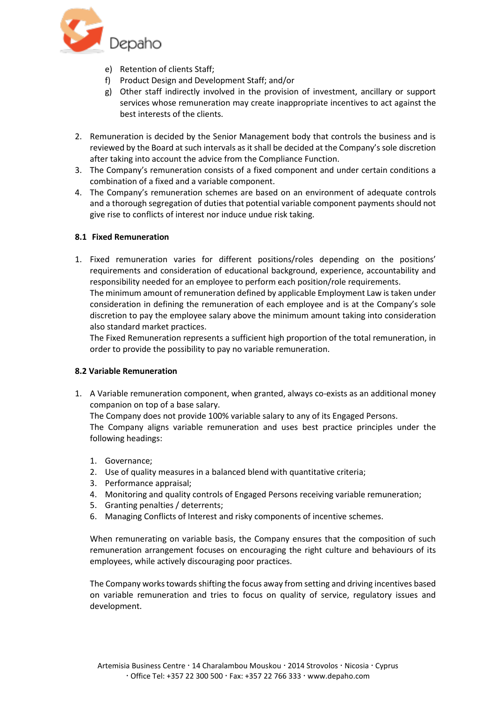

- e) Retention of clients Staff;
- f) Product Design and Development Staff; and/or
- g) Other staff indirectly involved in the provision of investment, ancillary or support services whose remuneration may create inappropriate incentives to act against the best interests of the clients.
- 2. Remuneration is decided by the Senior Management body that controls the business and is reviewed by the Board at such intervals as it shall be decided at the Company's sole discretion after taking into account the advice from the Compliance Function.
- 3. The Company's remuneration consists of a fixed component and under certain conditions a combination of a fixed and a variable component.
- 4. The Company's remuneration schemes are based on an environment of adequate controls and a thorough segregation of duties that potential variable component payments should not give rise to conflicts of interest nor induce undue risk taking.

### **8.1 Fixed Remuneration**

1. Fixed remuneration varies for different positions/roles depending on the positions' requirements and consideration of educational background, experience, accountability and responsibility needed for an employee to perform each position/role requirements. The minimum amount of remuneration defined by applicable Employment Law is taken under consideration in defining the remuneration of each employee and is at the Company's sole

discretion to pay the employee salary above the minimum amount taking into consideration also standard market practices.

The Fixed Remuneration represents a sufficient high proportion of the total remuneration, in order to provide the possibility to pay no variable remuneration.

### **8.2 Variable Remuneration**

1. A Variable remuneration component, when granted, always co-exists as an additional money companion on top of a base salary.

The Company does not provide 100% variable salary to any of its Engaged Persons. The Company aligns variable remuneration and uses best practice principles under the following headings:

- 1. Governance;
- 2. Use of quality measures in a balanced blend with quantitative criteria;
- 3. Performance appraisal;
- 4. Monitoring and quality controls of Engaged Persons receiving variable remuneration;
- 5. Granting penalties / deterrents;
- 6. Managing Conflicts of Interest and risky components of incentive schemes.

When remunerating on variable basis, the Company ensures that the composition of such remuneration arrangement focuses on encouraging the right culture and behaviours of its employees, while actively discouraging poor practices.

The Company works towards shifting the focus away from setting and driving incentives based on variable remuneration and tries to focus on quality of service, regulatory issues and development.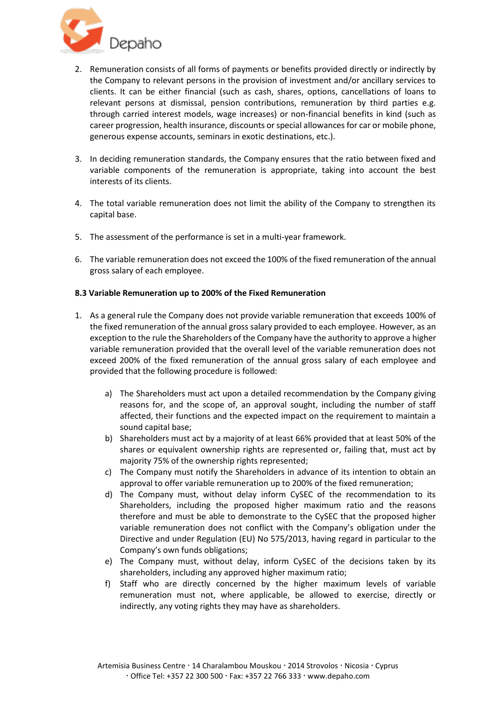

- 2. Remuneration consists of all forms of payments or benefits provided directly or indirectly by the Company to relevant persons in the provision of investment and/or ancillary services to clients. It can be either financial (such as cash, shares, options, cancellations of loans to relevant persons at dismissal, pension contributions, remuneration by third parties e.g. through carried interest models, wage increases) or non-financial benefits in kind (such as career progression, health insurance, discounts or special allowances for car or mobile phone, generous expense accounts, seminars in exotic destinations, etc.).
- 3. In deciding remuneration standards, the Company ensures that the ratio between fixed and variable components of the remuneration is appropriate, taking into account the best interests of its clients.
- 4. The total variable remuneration does not limit the ability of the Company to strengthen its capital base.
- 5. The assessment of the performance is set in a multi-year framework.
- 6. The variable remuneration does not exceed the 100% of the fixed remuneration of the annual gross salary of each employee.

### **8.3 Variable Remuneration up to 200% of the Fixed Remuneration**

- 1. As a general rule the Company does not provide variable remuneration that exceeds 100% of the fixed remuneration of the annual gross salary provided to each employee. However, as an exception to the rule the Shareholders of the Company have the authority to approve a higher variable remuneration provided that the overall level of the variable remuneration does not exceed 200% of the fixed remuneration of the annual gross salary of each employee and provided that the following procedure is followed:
	- a) The Shareholders must act upon a detailed recommendation by the Company giving reasons for, and the scope of, an approval sought, including the number of staff affected, their functions and the expected impact on the requirement to maintain a sound capital base;
	- b) Shareholders must act by a majority of at least 66% provided that at least 50% of the shares or equivalent ownership rights are represented or, failing that, must act by majority 75% of the ownership rights represented;
	- c) The Company must notify the Shareholders in advance of its intention to obtain an approval to offer variable remuneration up to 200% of the fixed remuneration;
	- d) The Company must, without delay inform CySEC of the recommendation to its Shareholders, including the proposed higher maximum ratio and the reasons therefore and must be able to demonstrate to the CySEC that the proposed higher variable remuneration does not conflict with the Company's obligation under the Directive and under Regulation (EU) No 575/2013, having regard in particular to the Company's own funds obligations;
	- e) The Company must, without delay, inform CySEC of the decisions taken by its shareholders, including any approved higher maximum ratio;
	- f) Staff who are directly concerned by the higher maximum levels of variable remuneration must not, where applicable, be allowed to exercise, directly or indirectly, any voting rights they may have as shareholders.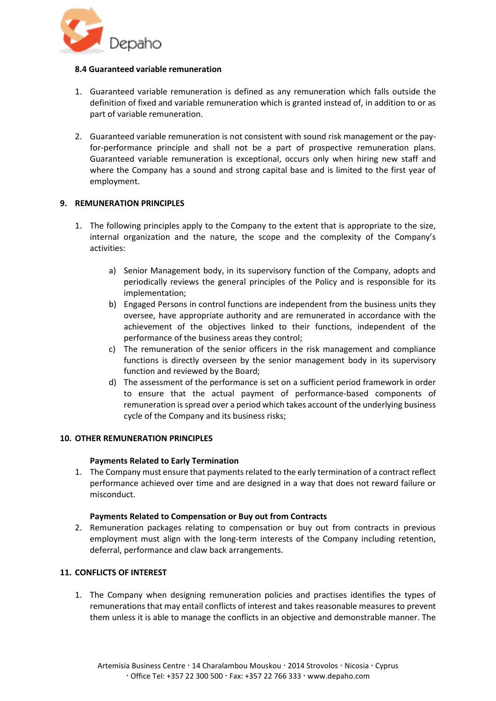

### **8.4 Guaranteed variable remuneration**

- 1. Guaranteed variable remuneration is defined as any remuneration which falls outside the definition of fixed and variable remuneration which is granted instead of, in addition to or as part of variable remuneration.
- 2. Guaranteed variable remuneration is not consistent with sound risk management or the payfor-performance principle and shall not be a part of prospective remuneration plans. Guaranteed variable remuneration is exceptional, occurs only when hiring new staff and where the Company has a sound and strong capital base and is limited to the first year of employment.

# **9. REMUNERATION PRINCIPLES**

- 1. The following principles apply to the Company to the extent that is appropriate to the size, internal organization and the nature, the scope and the complexity of the Company's activities:
	- a) Senior Management body, in its supervisory function of the Company, adopts and periodically reviews the general principles of the Policy and is responsible for its implementation;
	- b) Engaged Persons in control functions are independent from the business units they oversee, have appropriate authority and are remunerated in accordance with the achievement of the objectives linked to their functions, independent of the performance of the business areas they control;
	- c) The remuneration of the senior officers in the risk management and compliance functions is directly overseen by the senior management body in its supervisory function and reviewed by the Board;
	- d) The assessment of the performance is set on a sufficient period framework in order to ensure that the actual payment of performance-based components of remuneration is spread over a period which takes account of the underlying business cycle of the Company and its business risks;

### **10. OTHER REMUNERATION PRINCIPLES**

### **Payments Related to Early Termination**

1. The Company must ensure that payments related to the early termination of a contract reflect performance achieved over time and are designed in a way that does not reward failure or misconduct.

### **Payments Related to Compensation or Buy out from Contracts**

2. Remuneration packages relating to compensation or buy out from contracts in previous employment must align with the long-term interests of the Company including retention, deferral, performance and claw back arrangements.

### **11. CONFLICTS OF INTEREST**

1. The Company when designing remuneration policies and practises identifies the types of remunerations that may entail conflicts of interest and takes reasonable measures to prevent them unless it is able to manage the conflicts in an objective and demonstrable manner. The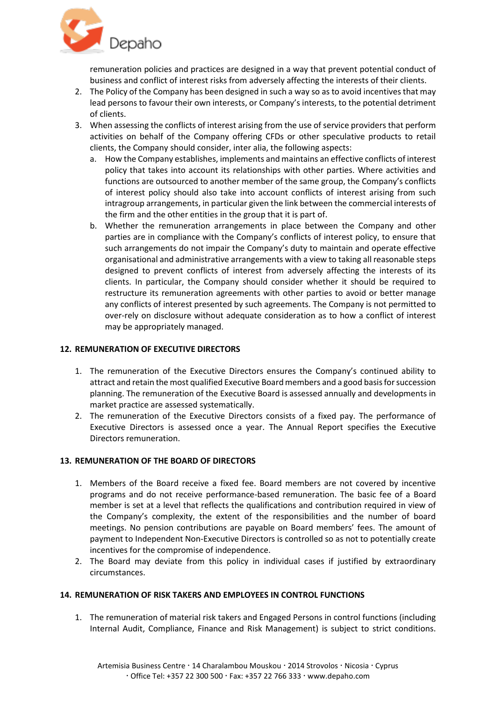

remuneration policies and practices are designed in a way that prevent potential conduct of business and conflict of interest risks from adversely affecting the interests of their clients.

- 2. The Policy of the Company has been designed in such a way so as to avoid incentives that may lead persons to favour their own interests, or Company's interests, to the potential detriment of clients.
- 3. When assessing the conflicts of interest arising from the use of service providers that perform activities on behalf of the Company offering CFDs or other speculative products to retail clients, the Company should consider, inter alia, the following aspects:
	- a. How the Company establishes, implements and maintains an effective conflicts of interest policy that takes into account its relationships with other parties. Where activities and functions are outsourced to another member of the same group, the Company's conflicts of interest policy should also take into account conflicts of interest arising from such intragroup arrangements, in particular given the link between the commercial interests of the firm and the other entities in the group that it is part of.
	- b. Whether the remuneration arrangements in place between the Company and other parties are in compliance with the Company's conflicts of interest policy, to ensure that such arrangements do not impair the Company's duty to maintain and operate effective organisational and administrative arrangements with a view to taking all reasonable steps designed to prevent conflicts of interest from adversely affecting the interests of its clients. In particular, the Company should consider whether it should be required to restructure its remuneration agreements with other parties to avoid or better manage any conflicts of interest presented by such agreements. The Company is not permitted to over-rely on disclosure without adequate consideration as to how a conflict of interest may be appropriately managed.

## **12. REMUNERATION OF EXECUTIVE DIRECTORS**

- 1. The remuneration of the Executive Directors ensures the Company's continued ability to attract and retain the most qualified Executive Board members and a good basis for succession planning. The remuneration of the Executive Board is assessed annually and developments in market practice are assessed systematically.
- 2. The remuneration of the Executive Directors consists of a fixed pay. The performance of Executive Directors is assessed once a year. The Annual Report specifies the Executive Directors remuneration.

### **13. REMUNERATION OF THE BOARD OF DIRECTORS**

- 1. Members of the Board receive a fixed fee. Board members are not covered by incentive programs and do not receive performance-based remuneration. The basic fee of a Board member is set at a level that reflects the qualifications and contribution required in view of the Company's complexity, the extent of the responsibilities and the number of board meetings. No pension contributions are payable on Board members' fees. The amount of payment to Independent Non-Executive Directors is controlled so as not to potentially create incentives for the compromise of independence.
- 2. The Board may deviate from this policy in individual cases if justified by extraordinary circumstances.

### **14. REMUNERATION OF RISK TAKERS AND EMPLOYEES IN CONTROL FUNCTIONS**

1. The remuneration of material risk takers and Engaged Persons in control functions (including Internal Audit, Compliance, Finance and Risk Management) is subject to strict conditions.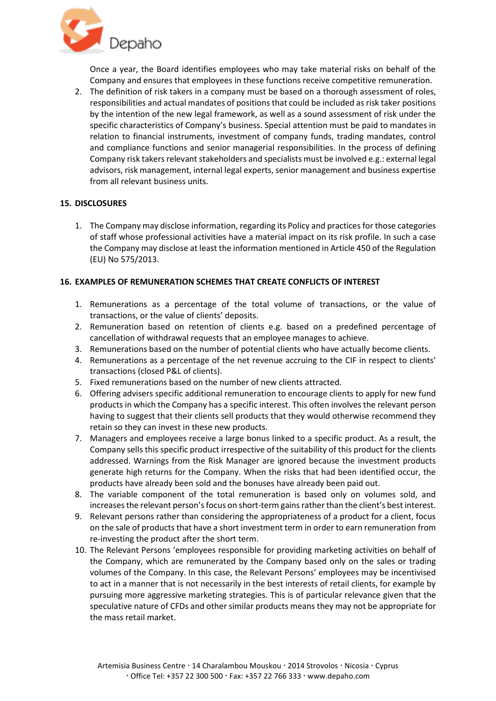

Once a year, the Board identifies employees who may take material risks on behalf of the Company and ensures that employees in these functions receive competitive remuneration.

2. The definition of risk takers in a company must be based on a thorough assessment of roles, responsibilities and actual mandates of positions that could be included as risk taker positions by the intention of the new legal framework, as well as a sound assessment of risk under the specific characteristics of Company's business. Special attention must be paid to mandates in relation to financial instruments, investment of company funds, trading mandates, control and compliance functions and senior managerial responsibilities. In the process of defining Company risk takers relevant stakeholders and specialists must be involved e.g.: external legal advisors, risk management, internal legal experts, senior management and business expertise from all relevant business units.

## **15. DISCLOSURES**

1. The Company may disclose information, regarding its Policy and practices for those categories of staff whose professional activities have a material impact on its risk profile. In such a case the Company may disclose at least the information mentioned in Article 450 of the Regulation (EU) No 575/2013.

## **16. EXAMPLES OF REMUNERATION SCHEMES THAT CREATE CONFLICTS OF INTEREST**

- 1. Remunerations as a percentage of the total volume of transactions, or the value of transactions, or the value of clients' deposits.
- 2. Remuneration based on retention of clients e.g. based on a predefined percentage of cancellation of withdrawal requests that an employee manages to achieve.
- 3. Remunerations based on the number of potential clients who have actually become clients.
- 4. Remunerations as a percentage of the net revenue accruing to the CIF in respect to clients' transactions (closed P&L of clients).
- 5. Fixed remunerations based on the number of new clients attracted.
- 6. Offering advisers specific additional remuneration to encourage clients to apply for new fund products in which the Company has a specific interest. This often involves the relevant person having to suggest that their clients sell products that they would otherwise recommend they retain so they can invest in these new products.
- 7. Managers and employees receive a large bonus linked to a specific product. As a result, the Company sells this specific product irrespective of the suitability of this product for the clients addressed. Warnings from the Risk Manager are ignored because the investment products generate high returns for the Company. When the risks that had been identified occur, the products have already been sold and the bonuses have already been paid out.
- 8. The variable component of the total remuneration is based only on volumes sold, and increases the relevant person's focus on short-term gains rather than the client's best interest.
- 9. Relevant persons rather than considering the appropriateness of a product for a client, focus on the sale of products that have a short investment term in order to earn remuneration from re-investing the product after the short term.
- 10. The Relevant Persons 'employees responsible for providing marketing activities on behalf of the Company, which are remunerated by the Company based only on the sales or trading volumes of the Company. In this case, the Relevant Persons' employees may be incentivised to act in a manner that is not necessarily in the best interests of retail clients, for example by pursuing more aggressive marketing strategies. This is of particular relevance given that the speculative nature of CFDs and other similar products means they may not be appropriate for the mass retail market.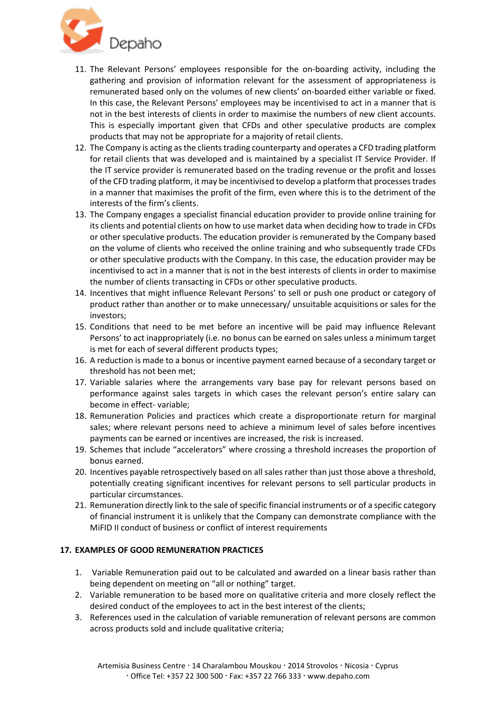

- 11. The Relevant Persons' employees responsible for the on-boarding activity, including the gathering and provision of information relevant for the assessment of appropriateness is remunerated based only on the volumes of new clients' on-boarded either variable or fixed. In this case, the Relevant Persons' employees may be incentivised to act in a manner that is not in the best interests of clients in order to maximise the numbers of new client accounts. This is especially important given that CFDs and other speculative products are complex products that may not be appropriate for a majority of retail clients.
- 12. The Company is acting as the clients trading counterparty and operates a CFD trading platform for retail clients that was developed and is maintained by a specialist IT Service Provider. If the IT service provider is remunerated based on the trading revenue or the profit and losses of the CFD trading platform, it may be incentivised to develop a platform that processes trades in a manner that maximises the profit of the firm, even where this is to the detriment of the interests of the firm's clients.
- 13. The Company engages a specialist financial education provider to provide online training for its clients and potential clients on how to use market data when deciding how to trade in CFDs or other speculative products. The education provider is remunerated by the Company based on the volume of clients who received the online training and who subsequently trade CFDs or other speculative products with the Company. In this case, the education provider may be incentivised to act in a manner that is not in the best interests of clients in order to maximise the number of clients transacting in CFDs or other speculative products.
- 14. Incentives that might influence Relevant Persons' to sell or push one product or category of product rather than another or to make unnecessary/ unsuitable acquisitions or sales for the investors;
- 15. Conditions that need to be met before an incentive will be paid may influence Relevant Persons' to act inappropriately (i.e. no bonus can be earned on sales unless a minimum target is met for each of several different products types;
- 16. A reduction is made to a bonus or incentive payment earned because of a secondary target or threshold has not been met;
- 17. Variable salaries where the arrangements vary base pay for relevant persons based on performance against sales targets in which cases the relevant person's entire salary can become in effect- variable;
- 18. Remuneration Policies and practices which create a disproportionate return for marginal sales; where relevant persons need to achieve a minimum level of sales before incentives payments can be earned or incentives are increased, the risk is increased.
- 19. Schemes that include "accelerators" where crossing a threshold increases the proportion of bonus earned.
- 20. Incentives payable retrospectively based on all sales rather than just those above a threshold, potentially creating significant incentives for relevant persons to sell particular products in particular circumstances.
- 21. Remuneration directly link to the sale of specific financial instruments or of a specific category of financial instrument it is unlikely that the Company can demonstrate compliance with the MiFID II conduct of business or conflict of interest requirements

# **17. EXAMPLES OF GOOD REMUNERATION PRACTICES**

- 1. Variable Remuneration paid out to be calculated and awarded on a linear basis rather than being dependent on meeting on "all or nothing" target.
- 2. Variable remuneration to be based more on qualitative criteria and more closely reflect the desired conduct of the employees to act in the best interest of the clients;
- 3. References used in the calculation of variable remuneration of relevant persons are common across products sold and include qualitative criteria;